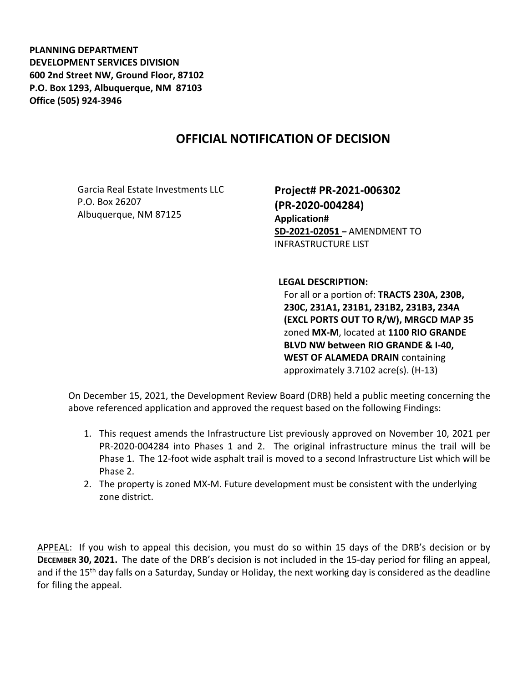**PLANNING DEPARTMENT DEVELOPMENT SERVICES DIVISION 600 2nd Street NW, Ground Floor, 87102 P.O. Box 1293, Albuquerque, NM 87103 Office (505) 924-3946** 

## **OFFICIAL NOTIFICATION OF DECISION**

Garcia Real Estate Investments LLC P.O. Box 26207 Albuquerque, NM 87125

**Project# PR-2021-006302 (PR-2020-004284) Application# SD-2021-02051 –** AMENDMENT TO INFRASTRUCTURE LIST

**LEGAL DESCRIPTION:**

For all or a portion of: **TRACTS 230A, 230B, 230C, 231A1, 231B1, 231B2, 231B3, 234A (EXCL PORTS OUT TO R/W), MRGCD MAP 35**  zoned **MX-M**, located at **1100 RIO GRANDE BLVD NW between RIO GRANDE & I-40, WEST OF ALAMEDA DRAIN** containing approximately 3.7102 acre(s). (H-13)

On December 15, 2021, the Development Review Board (DRB) held a public meeting concerning the above referenced application and approved the request based on the following Findings:

- 1. This request amends the Infrastructure List previously approved on November 10, 2021 per PR-2020-004284 into Phases 1 and 2. The original infrastructure minus the trail will be Phase 1. The 12-foot wide asphalt trail is moved to a second Infrastructure List which will be Phase 2.
- 2. The property is zoned MX-M. Future development must be consistent with the underlying zone district.

APPEAL: If you wish to appeal this decision, you must do so within 15 days of the DRB's decision or by **DECEMBER 30, 2021.** The date of the DRB's decision is not included in the 15-day period for filing an appeal, and if the 15<sup>th</sup> day falls on a Saturday, Sunday or Holiday, the next working day is considered as the deadline for filing the appeal.